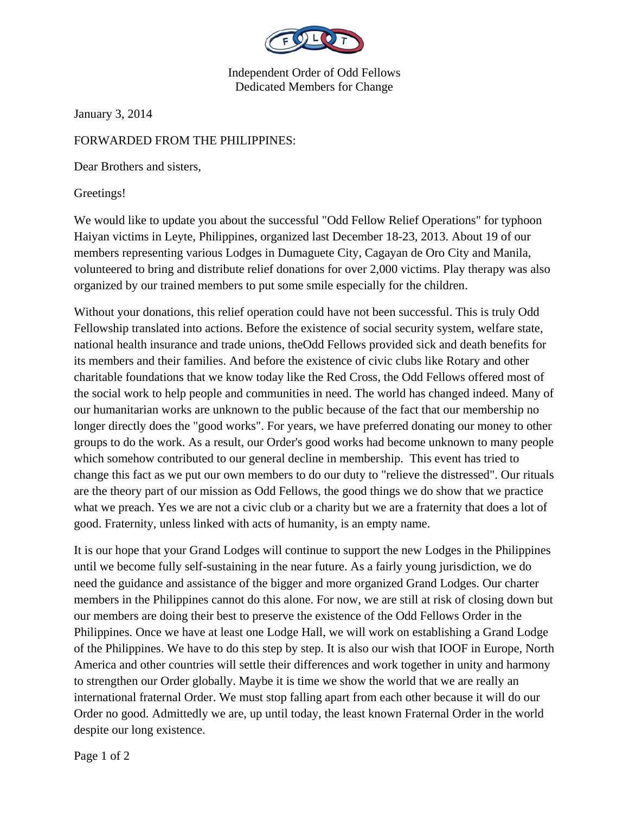

Independent Order of Odd Fellows Dedicated Members for Change

January 3, 2014

## FORWARDED FROM THE PHILIPPINES:

Dear Brothers and sisters,

Greetings!

We would like to update you about the successful "Odd Fellow Relief Operations" for typhoon Haiyan victims in Leyte, Philippines, organized last December 18-23, 2013. About 19 of our members representing various Lodges in Dumaguete City, Cagayan de Oro City and Manila, volunteered to bring and distribute relief donations for over 2,000 victims. Play therapy was also organized by our trained members to put some smile especially for the children.

Without your donations, this relief operation could have not been successful. This is truly Odd Fellowship translated into actions. Before the existence of social security system, welfare state, national health insurance and trade unions, theOdd Fellows provided sick and death benefits for its members and their families. And before the existence of civic clubs like Rotary and other charitable foundations that we know today like the Red Cross, the Odd Fellows offered most of the social work to help people and communities in need. The world has changed indeed. Many of our humanitarian works are unknown to the public because of the fact that our membership no longer directly does the "good works". For years, we have preferred donating our money to other groups to do the work. As a result, our Order's good works had become unknown to many people which somehow contributed to our general decline in membership. This event has tried to change this fact as we put our own members to do our duty to "relieve the distressed". Our rituals are the theory part of our mission as Odd Fellows, the good things we do show that we practice what we preach. Yes we are not a civic club or a charity but we are a fraternity that does a lot of good. Fraternity, unless linked with acts of humanity, is an empty name.

It is our hope that your Grand Lodges will continue to support the new Lodges in the Philippines until we become fully self-sustaining in the near future. As a fairly young jurisdiction, we do need the guidance and assistance of the bigger and more organized Grand Lodges. Our charter members in the Philippines cannot do this alone. For now, we are still at risk of closing down but our members are doing their best to preserve the existence of the Odd Fellows Order in the Philippines. Once we have at least one Lodge Hall, we will work on establishing a Grand Lodge of the Philippines. We have to do this step by step. It is also our wish that IOOF in Europe, North America and other countries will settle their differences and work together in unity and harmony to strengthen our Order globally. Maybe it is time we show the world that we are really an international fraternal Order. We must stop falling apart from each other because it will do our Order no good. Admittedly we are, up until today, the least known Fraternal Order in the world despite our long existence.